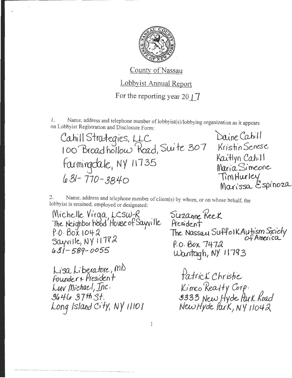

County of Nassau Lobbyist Annual Report For the reporting year 20  $\uparrow$  7

Name, address and telephone number of lobbyist(s)/lobbying organization as it appears 1. on Lobbyist Registration and Disclosure Form:

Cahill Strategies, LLC<br>100 Broadhollow Road, Suite 307 Farmingdale, NY 11735  $631 - 770 - 3840$ 

Daine Cahill Kristin Senese Kaitlyn Cahill Maria Simeone TimHurley Marissa Espinoza

Name, address and telephone number of client(s) by whom, or on whose behalf, the 2. lobbyist is retained, employed or designated:

Michelle Virga, LCSW-R<br>The Neighborhood House of Sayville  $P O. B 0 X 1042$ Sayville, NY 11782  $431 - 589 - 0055$ 

Lisa Liberatore, mb<br>Founder + President Luv Michael, Inc. 3646 37th St. Long Island City, NY 11101 Suzanne Keek President The Nassau Suffolk Autism Society P.O. Box 7472 Wantagh, NY 11793

Patrick Christie Kimco Realty Corp.<br>9333 New Hyde Park Road<br>New Hyde Park, NY 11042

 $\mathbf{1}$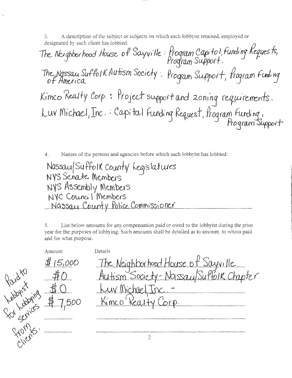A description of the subject or subjects on which each lobby ist retained, employed or 3. designated by such client has lobbied:

The Neighborhood House of Sayville: Program Capitol, Funding Requests, The Nassau Suffolk Autism Society. Program Support, Program Funding Kimco Realty Corp.: Project support and zoning requirements. Luv Michael, Inc. Capital Funding Request, frogram Funding,

4. Names of the persons and agencies before which such lobbyist has lobbied:

Nassau/Suffolk County Legislatures NYS Senate Members NYS Assembly Members<br>NYC Council Members Nassay County Police Commissioner

List below amounts for any compensation paid or owed to the lobbyist during the prior 5. year for the purposes of lobbying. Such amounts shall be detailed as to amount, to whom paid and for what purpose.

Details Amount The Neighborhood House of Sayville  $$15,000$ Autism Society-Nassau/Suffolk Chapter You Labying #7,500 Luv Michael Inc. Kimco Kealty Corp.  $\overline{2}$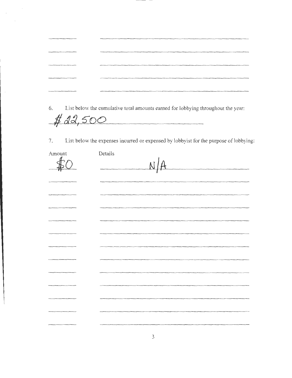| provided a control of the control of the control of the control of the control of the control of the control of                                                                                                                | The contribution of the contribution of the contribution of the contribution of the contribution of the contribution of the contribution of the contribution of the contribution of the contribution of the contribution of th       |
|--------------------------------------------------------------------------------------------------------------------------------------------------------------------------------------------------------------------------------|--------------------------------------------------------------------------------------------------------------------------------------------------------------------------------------------------------------------------------------|
| controller resume and controller than the control of the controller fundation of the control of the control of                                                                                                                 | The company of the second contract of the contract of the contract of the contract of the contract of the contract of the contract of the contract of the contract of the contract of the contract of the contract of the cont       |
| structures and the control of the control of the control of the control of the control of                                                                                                                                      |                                                                                                                                                                                                                                      |
| TO SERVE AND COMPANY OF THE CONTRACT OF THE CONTRACT OF THE CONTRACT OF THE CONTRACT OF THE CONTRACT OF THE CONTRACT OF THE CONTRACT OF THE CONTRACT OF THE CONTRACT OF THE CONTRACT OF THE CONTRACT OF THE CONTRACT OF THE CO | The content of the content of the content of the property of the content of the content of the content of the content of the content of the content of the content of the content of the content of the content of the content       |
| Survey and the company's product of the company's product of the company's product of the company's product of                                                                                                                 | <b>The contract of the contract of the contract of the contract of the contract of the contract of the contract of the contract of the contract of the contract of the contract of the contract of the contract of the contract </b> |

6. List below the cumulative total amounts earned for lobbying throughout the year:

 $#22,500$ 

7. List below the expenses incuned or expensed by lobbyist for the purpose of lobbying:

| Amount | Details<br>$\overline{M}$ |
|--------|---------------------------|
|        |                           |
|        |                           |
|        |                           |
|        |                           |
|        |                           |
|        |                           |
|        |                           |
|        |                           |
|        |                           |
|        |                           |
|        |                           |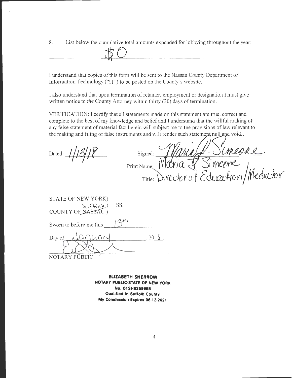8. List below the cumulative total amounts expended for lobbying throughout the year:



I understand that copies of this form will be sent to the Nassau County Department of Information Technology ("IT") to be posted on the County's website.

I also understand that upon termination of retainer, employment or designation I must give written notice to the County Attorney within thirty (30) days of termination.

VERIFICATION: I certify that all statements made on this statement are true, correct and complete to the best of my knowledge and belief and I understand that the willful making of any false statement of material fact herein will subject me to the provisions of law relevant to the making and filing of false instruments and will render such statement null and void.,

Dated:  $1/13/8$  Signed:  $\frac{1}{2}$  Simed:  $\frac{1}{2}$  $P$ rint Name:  $Mdy/a$   $\sqrt{3}$  meene Title])\· *vtdo(* ~ *EdumJtO* 'fl *1* /l1d;a.:hr

| STATE OF NEW YORK)<br>SS:<br>SafferK)<br>COUNTY OF NASSAU) |                 |
|------------------------------------------------------------|-----------------|
| $13^{th}$<br>Sworn to before me this                       |                 |
| LCMUCIN<br>Day of                                          | $201\sqrt{2}$ . |
| NOTARY PUB                                                 |                 |

**ELIZABETH SHERROW NOTARY PUBLIC-StATE OF NEW YORK No. OlSH6359968 Qualified in Suffolk County My Commission Expires 06-12·2021**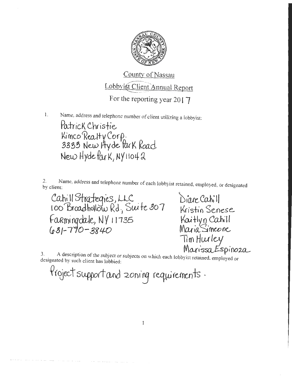

Name, address and telephone number of client utilizing a lobbyist:  $\mathbf{1}$ . Patrick Christie Kimco Realty Corp.<br>3333 New Hyde Park Road New Hyde Park, NY 11042

Name, address and telephone number of each lobbyist retained, employed, or designated  $2.$ by client:

Cahill Strategies, LLC<br>100 Broadhollow Rd, Suite 307 Farmingdale, NY 11735  $(031 - 770 - 3840)$ 

Diane Cahill Kristin Senese Kaitlyn Cahill<br>Maria Simeone Tim Hurley Marissa Espinoza

A description of the subject or subjects on which each lobbyist retained, employed or 3. designated by such client has lobbied:

Project support and zoning requirements.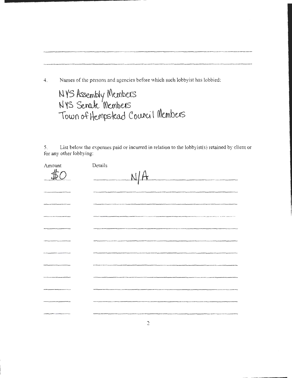4. Names of the persons and agencies before which such lobbyist has lobbied:

<sup>~</sup>**YS** ~bly **N\unbas**  NYS Senate Members  $\tau$ Town of Hempstead Courcil Members

....... \_\_\_\_\_\_\_\_\_\_\_\_ \_\_

5. List below the expenses paid or incurred in relation to the Jobbyist(s) retained by client or for any other lobbying:

| Amount   | Details                                                                                                                                                                                                                           |
|----------|-----------------------------------------------------------------------------------------------------------------------------------------------------------------------------------------------------------------------------------|
| $\#$ r   | $\Delta$<br>.<br>Principle was detected in the formal temperature and compared the following compared of the following section of the formal temperature.                                                                         |
|          |                                                                                                                                                                                                                                   |
|          |                                                                                                                                                                                                                                   |
|          | .<br>The accomplishment of the present first of the complete three completes and the complete the policy of the complete the complete the complete the complete the complete the complete the complete the complete the complete  |
|          | .<br>2006 as discovered with a positive contract of the construction of the characteristic and a process contract of the construction of the contract of the contract of the contract of the contract of the contract of the cont |
| _______  |                                                                                                                                                                                                                                   |
|          | -----                                                                                                                                                                                                                             |
|          |                                                                                                                                                                                                                                   |
| -------- | ------                                                                                                                                                                                                                            |
|          |                                                                                                                                                                                                                                   |
|          |                                                                                                                                                                                                                                   |
|          | .<br>Tähteen prosiitiin ta rajaalta muutamata, ruu                                                                                                                                                                                |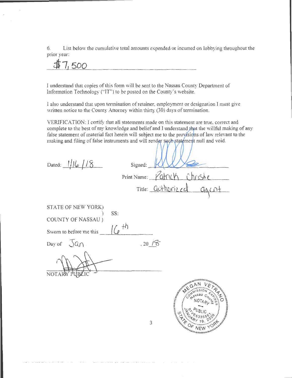6. List below the cumulative total amounts expended or incurred on lobbying throughout the prior year:

**dt7, 500** 

I understand that copies of this form will be sent to the Nassau County Department of Information Technology ("JT") to be posted on the County's website.

I also understand that upon termination of retainer, employment or designation I must give written notice to the County Attorney within thirty (30) days of termination.

VERIFICATION: I certify that all statements made on this statement are true, correct and complete to the best of my knowledge and belief and I understand that the willful making of any false statement of material fact herein will subject me to the provisions of law relevant to the making and filing of false instruments and will render such statement null and void.

| Dated: 1/16/18          | Signed:                                                                                                                                                                                                                                                                                   |
|-------------------------|-------------------------------------------------------------------------------------------------------------------------------------------------------------------------------------------------------------------------------------------------------------------------------------------|
|                         | Print Name: Palry W<br>Chrishe                                                                                                                                                                                                                                                            |
|                         | Title: <u>authorized</u><br>aacnt                                                                                                                                                                                                                                                         |
| STATE OF NEW YORK)      | SS:                                                                                                                                                                                                                                                                                       |
| COUNTY OF NASSAU)       |                                                                                                                                                                                                                                                                                           |
| Sworn to before me this | $(6$ <sup>th</sup>                                                                                                                                                                                                                                                                        |
| Day of $\sqrt{a} \cap$  | .20/6                                                                                                                                                                                                                                                                                     |
| <b>NOTAR</b>            |                                                                                                                                                                                                                                                                                           |
|                         |                                                                                                                                                                                                                                                                                           |
|                         | ANTIFICATION AND MANUS<br>$A^{\delta^{\varsigma}}$<br>real description of the contract of the contract of the contract of the contract of the contract of the contract of the contract of the contract of the contract of the contract of the contract of the contract of the contra<br>3 |
|                         | '''''''''''''''''''''                                                                                                                                                                                                                                                                     |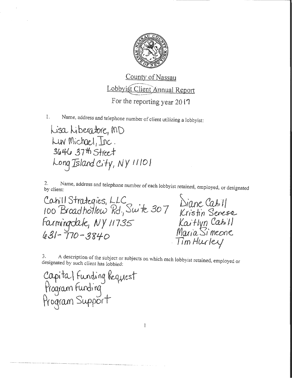

1. Name, address and telephone number of client utilizing a lobbyist:

Lisa Liberatore, MD kuy Michael, Inc. 3646 37th Street lors IS *tara 6·+y, NY'' 10'* 

2. Name, address and telephone number of each lobbyist retained, employed, or designated<br>by client:<br>Cahill Strategies, LLC<br>100 Broad hollow Rd., Swite 307 Kristin Senesse<br>farmingclale, NY 11735 Kaitlyn Cahill<br>1.21-770-284  $431 - 770 - 3840$ 

Tim Hurley

3. A description of the subject or subjects on \vhich each lobbyist retained, employed or designated by such client has lobbied:

Capita I funding Request<br>Program Funding<br>Program Support

 $\forall i$  ----- - W scate High the digitation of the contraction of the contract  $\forall i$  states the contract of the contract of the contract of the contract of the contract of the contract of the contract of the contract of the

Ì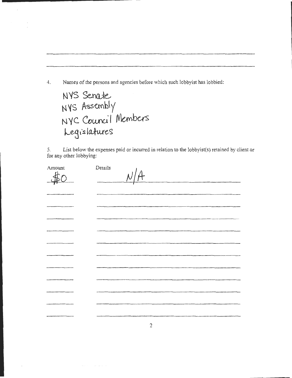Names of the persons and agencies before which such lobbyist has lobbied:  $4.$ 

NYS Senate NYS Assembly<br>NYC Council Members<br>Legislatures

List below the expenses paid or incurred in relation to the lobbyist(s) retained by client or 5. for any other lobbying:

| Amount<br>rl | Details<br>N/A |
|--------------|----------------|
|              |                |
| --------     |                |
|              |                |
|              |                |
|              |                |
|              |                |
|              | ----           |
|              |                |
|              |                |
| ________     |                |
|              |                |
|              | $\tilde{z}$    |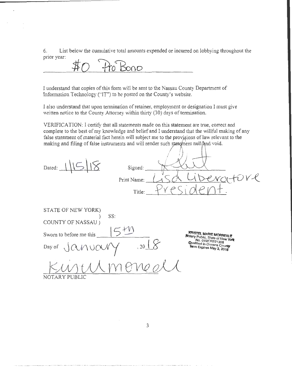6. List below the cumulative total amounts expended or incurred on lobbying throughout the prior year:

Pro Bono  $\sharp$ 

I understand that copies of this form will be sent to the Nassau County Department of Information Technology ("IT") to be posted on the County's website.

I also understand that upon termination of retainer, employment or designation I must give written notice to the County Attorney within thirty (30) days of termination.

VERIFICATION: I certify that all statements made on this statement are true, correct and complete to the best of my knowledge and belief and I understand that the willful making of any false statement of material fact herein will subject me to the provisions of law relevant to the making and filing of false instruments and will render such statement null/and void.

| Dated:                                                                                                             | Signed:<br>Print Name:<br>Title: |                                                                                                                                                |
|--------------------------------------------------------------------------------------------------------------------|----------------------------------|------------------------------------------------------------------------------------------------------------------------------------------------|
| STATE OF NEW YORK)<br>COUNTY OF NASSAU)<br>Sworn to before me this<br>$\operatorname{\sf Day}$ of<br>NOTARY PUBLIC | SS:<br>$.20$ <sup>X</sup>        | <b>KRISTEL MARIE MORREALE</b><br>Notary Public, State of New York<br>No. 01MO6221308<br>Qualified in Queens County<br>Term Expires May 3, 2018 |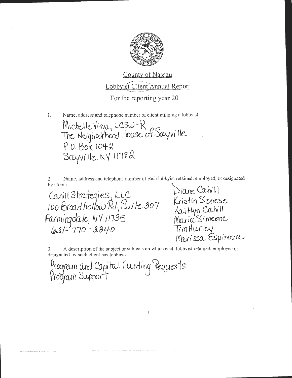

Name, address and telephone number of client utilizing a lobbyist:  $\mathbf{1}$ .

Michelle Virga, LCSW-R<br>The Neighborhood House of Sayville P.O. Box 1042  $Sayville, NY 11782$ 

Name, address and telephone number of each lobbyist retained, employed, or designated by client:

Cahill Strategies, LLC Cahill Strategies, LLC<br>100 Broad hollow Rd, Suite 307 Kristin Senese<br>Farmingdale, NV 11735 Maria Simeone Farmingdale, NV 11735<br>631-770-3840

Diane Cahill TimHurley<br>Marissa Espinoza

A description of the subject or subjects on which each lobbyist retained, employed or З. designated by such client has lobbied:

Program and Capital Funding Requests<br>Program Support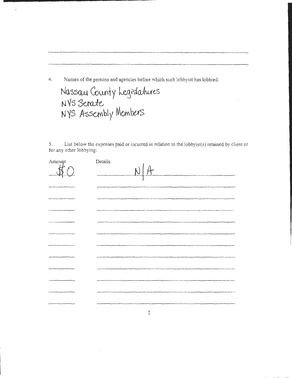Names of the persons and agencies before which such lobbyist has lobbied: 4.

Nassau County Legislatures<br>NYS Senate<br>NYS Assembly Members

List below the expenses paid or incurred in relation to the lobbyist(s) retained by client or 5. for any other lobbying:

| Amount            | Details                                               |
|-------------------|-------------------------------------------------------|
|                   | A<br>$\overline{M}$                                   |
|                   |                                                       |
|                   |                                                       |
| <b>COMMERCIAL</b> | to detect the first course present and of the collect |
|                   |                                                       |
|                   |                                                       |
|                   |                                                       |
|                   | ------                                                |
| _________         | $\bar{z}$                                             |
|                   |                                                       |
| ---------         | $\sim$                                                |
|                   | <b>The Second Contract</b>                            |

 $\mathfrak{2}$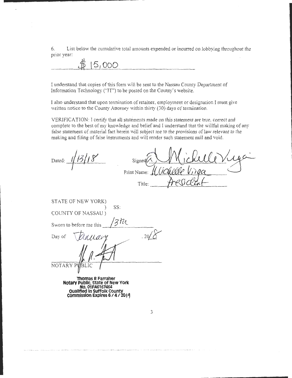6. List below the cumulative total amounts expended or incurred on lobbying throughout the prior year:<br> $\oint \left(5,000\right)$ prior year:

I understand that copies of this form \Viii be sent to the Nassau County Department of Information Technology ("IT") to be posted on the County's website.

I also understand that upon termination of retainer, employment or designation I must give written notice to the County Attorney within thirty (30) days of termination.

VERIFICATION: I cettify that all statements made on this statement are true, correct and complete to the best of my knowledge and belief and I understand that the willful making of any false statement of material fact herein will subject me to the provisions of law relevant to the making and filing of false instruments and vvill render such statement null and void.

Dated:  $1/13/18$ Signec Print Name: Title

| STATE OF NEW YORK)            |
|-------------------------------|
| SS:                           |
| COUNTY OF NASSAU)             |
| Ħл<br>Sworn to before me this |
| Day of                        |
| wary                          |
|                               |
|                               |
| NOTARY PUBLIC                 |
|                               |

**Thomas R Farraher Notary Public, State of New York No. 01FA6167464 Ouallfleclln SUffolk County commission Expires 6 1 4 1 <sup>2011</sup>**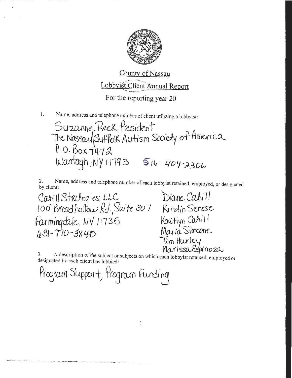

Name, address and telephone number of client utilizing a lobbyist:  $1.$ 

Suzanne Reek, President The Nassau Suffolk Autism Society of America Wantagh, NY 11793 516-404-2306

Name, address and telephone number of each lobbyist retained, employed, or designated 2. by client:

Cahill Strategies, LLC Diane Cahill<br>100 Broadhollow Rd, Suite 307 Kristin Senese Farmingdale, NY 11736  $1031 - 770 - 3840$ 

Kaitlyn Cahill<br>Maria Simeene Tim Hurley Marissa Espinoza

A description of the subject or subjects on which each lobbyist retained, employed or designated by such client has lobbied:

Program Support, Program Funding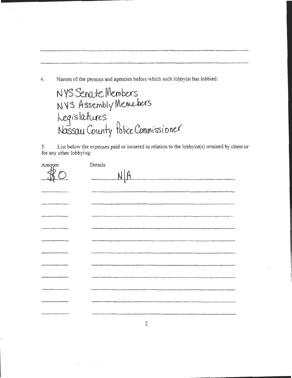4. Names of the persons and agencies before which such lobbyist has lobbied:

NYS Senate Members NYS Assembly Memebers Legislatures<br>Nassau County Police Commissioner

5. List below the expenses paid or incurred in relation to the lobbyist(s) retained by client or for any other lobbying:

| Amount        | Details                                                                                                                                                                                                                                        |
|---------------|------------------------------------------------------------------------------------------------------------------------------------------------------------------------------------------------------------------------------------------------|
|               |                                                                                                                                                                                                                                                |
|               |                                                                                                                                                                                                                                                |
|               |                                                                                                                                                                                                                                                |
| ------------- | .<br>- With Abundance And Art are springly to Mill Theodoro position in program and a military and an entire very service<br>.<br>Annan regular and the set of the form of the company of the constitute of the set of the constitution of the |
|               |                                                                                                                                                                                                                                                |
|               |                                                                                                                                                                                                                                                |
|               |                                                                                                                                                                                                                                                |
|               |                                                                                                                                                                                                                                                |
|               |                                                                                                                                                                                                                                                |
|               |                                                                                                                                                                                                                                                |
|               |                                                                                                                                                                                                                                                |
|               |                                                                                                                                                                                                                                                |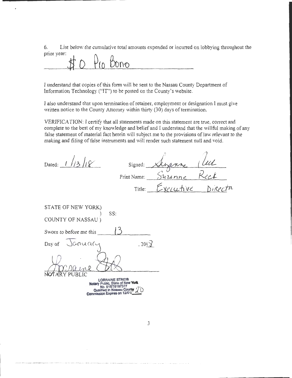6. List below the cumulative total amounts expended or incurred on lobbying throughout the prior year:

Pro Bono

 $\mathbf{r}$ 

I understand that copies of this fonn will be sent to the Nassau County Department of Information Technology ("IT") to be posted on the County's website.

I also understand that upon terrnination of retainer, employment or designation I must give written notice to the County Attomey within thirty (30) days of termination.

VERIFICATION: I certify that all statements made on this statement are true, correct and complete to the best of my knowledge and belief and I understand that the willful making of any false statement of material fact herein will subject me to the provisions of law relevant to the making and filing of false instruments and will render such statement null and void.

| Dated:                                                                                                                                | Signed:     |           | 'UL |
|---------------------------------------------------------------------------------------------------------------------------------------|-------------|-----------|-----|
|                                                                                                                                       | Print Name: | Munne     |     |
|                                                                                                                                       | Title:      | Executive |     |
| STATE OF NEW YORK)                                                                                                                    |             |           |     |
| SS:<br>COUNTY OF NASSAU)                                                                                                              |             |           |     |
| Sworn to before me this                                                                                                               |             |           |     |
| Day of January                                                                                                                        | , 20()      |           |     |
|                                                                                                                                       |             |           |     |
| RY PUBLIC<br><b>LORRAINE STREIB</b><br>Notary Public, State of New York<br>Qualified in Nassau County<br>Commission Expires on 12/01/ |             |           |     |